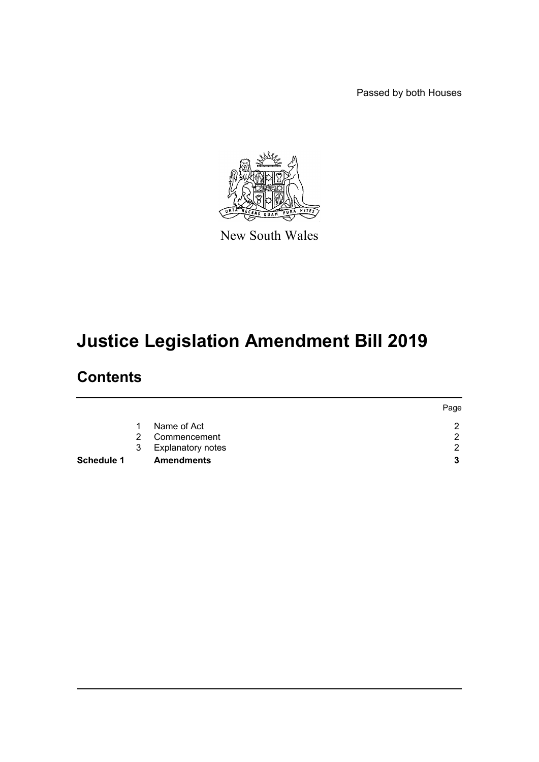Passed by both Houses



New South Wales

# **Justice Legislation Amendment Bill 2019**

# **Contents**

|                   |               |                          | Page |
|-------------------|---------------|--------------------------|------|
|                   |               | Name of Act              | റ    |
|                   | $\mathcal{P}$ | Commencement             | റ    |
|                   | 3             | <b>Explanatory notes</b> | ◠    |
| <b>Schedule 1</b> |               | <b>Amendments</b>        | 3    |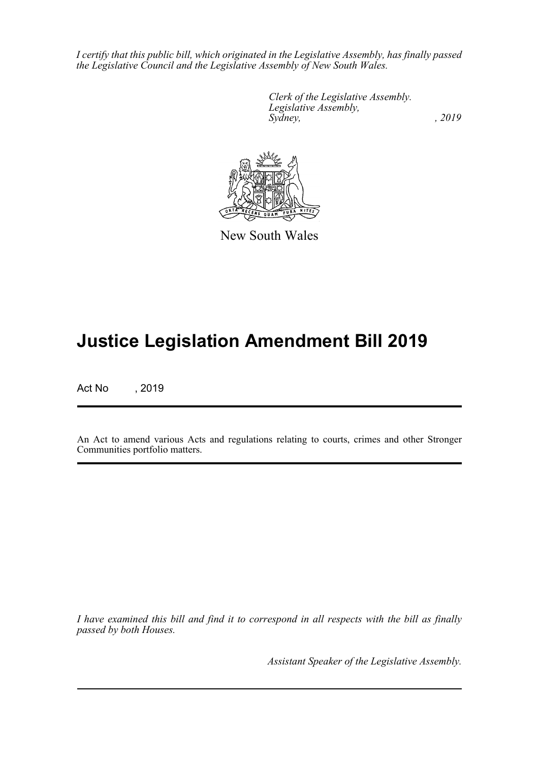*I certify that this public bill, which originated in the Legislative Assembly, has finally passed the Legislative Council and the Legislative Assembly of New South Wales.*

> *Clerk of the Legislative Assembly. Legislative Assembly, Sydney,* , 2019



New South Wales

# **Justice Legislation Amendment Bill 2019**

Act No , 2019

An Act to amend various Acts and regulations relating to courts, crimes and other Stronger Communities portfolio matters.

*I have examined this bill and find it to correspond in all respects with the bill as finally passed by both Houses.*

*Assistant Speaker of the Legislative Assembly.*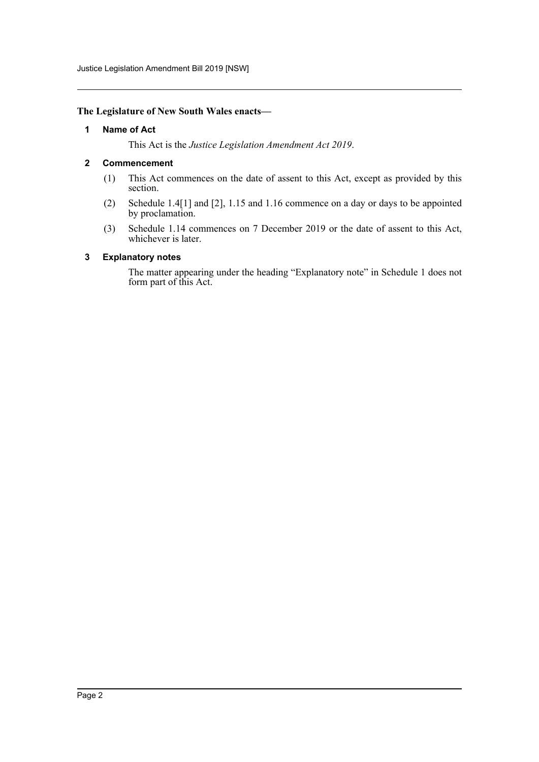Justice Legislation Amendment Bill 2019 [NSW]

#### <span id="page-2-0"></span>**The Legislature of New South Wales enacts—**

#### **1 Name of Act**

This Act is the *Justice Legislation Amendment Act 2019*.

#### <span id="page-2-1"></span>**2 Commencement**

- (1) This Act commences on the date of assent to this Act, except as provided by this section.
- (2) Schedule 1.4[1] and [2], 1.15 and 1.16 commence on a day or days to be appointed by proclamation.
- (3) Schedule 1.14 commences on 7 December 2019 or the date of assent to this Act, whichever is later.

#### <span id="page-2-2"></span>**3 Explanatory notes**

The matter appearing under the heading "Explanatory note" in Schedule 1 does not form part of this Act.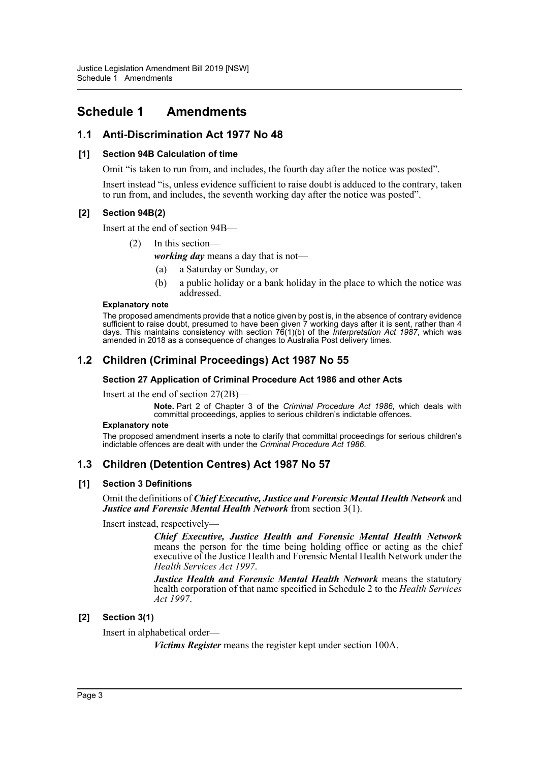# <span id="page-3-0"></span>**Schedule 1 Amendments**

# **1.1 Anti-Discrimination Act 1977 No 48**

## **[1] Section 94B Calculation of time**

Omit "is taken to run from, and includes, the fourth day after the notice was posted".

Insert instead "is, unless evidence sufficient to raise doubt is adduced to the contrary, taken to run from, and includes, the seventh working day after the notice was posted".

## **[2] Section 94B(2)**

Insert at the end of section 94B—

(2) In this section—

*working day* means a day that is not—

- (a) a Saturday or Sunday, or
- (b) a public holiday or a bank holiday in the place to which the notice was addressed.

#### **Explanatory note**

The proposed amendments provide that a notice given by post is, in the absence of contrary evidence sufficient to raise doubt, presumed to have been given 7 working days after it is sent, rather than 4 days. This maintains consistency with section 76(1)(b) of the *Interpretation Act 1987*, which was amended in 2018 as a consequence of changes to Australia Post delivery times.

# **1.2 Children (Criminal Proceedings) Act 1987 No 55**

#### **Section 27 Application of Criminal Procedure Act 1986 and other Acts**

Insert at the end of section 27(2B)—

**Note.** Part 2 of Chapter 3 of the *Criminal Procedure Act 1986*, which deals with committal proceedings, applies to serious children's indictable offences.

#### **Explanatory note**

The proposed amendment inserts a note to clarify that committal proceedings for serious children's indictable offences are dealt with under the *Criminal Procedure Act 1986*.

# **1.3 Children (Detention Centres) Act 1987 No 57**

#### **[1] Section 3 Definitions**

Omit the definitions of *Chief Executive, Justice and Forensic Mental Health Network* and *Justice and Forensic Mental Health Network* from section 3(1).

Insert instead, respectively—

*Chief Executive, Justice Health and Forensic Mental Health Network* means the person for the time being holding office or acting as the chief executive of the Justice Health and Forensic Mental Health Network under the *Health Services Act 1997*.

*Justice Health and Forensic Mental Health Network* means the statutory health corporation of that name specified in Schedule 2 to the *Health Services Act 1997*.

# **[2] Section 3(1)**

Insert in alphabetical order—

*Victims Register* means the register kept under section 100A.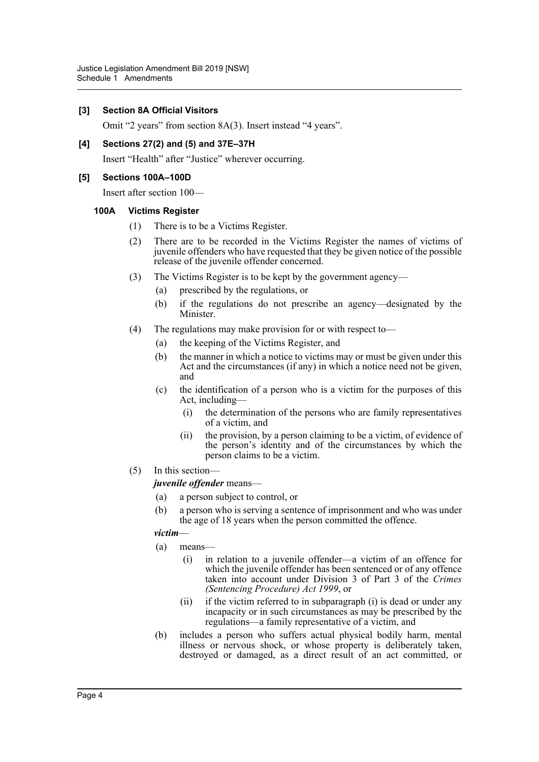## **[3] Section 8A Official Visitors**

Omit "2 years" from section 8A(3). Insert instead "4 years".

## **[4] Sections 27(2) and (5) and 37E–37H**

Insert "Health" after "Justice" wherever occurring.

## **[5] Sections 100A–100D**

Insert after section 100—

## **100A Victims Register**

- (1) There is to be a Victims Register.
- (2) There are to be recorded in the Victims Register the names of victims of juvenile offenders who have requested that they be given notice of the possible release of the juvenile offender concerned.
- (3) The Victims Register is to be kept by the government agency—
	- (a) prescribed by the regulations, or
	- (b) if the regulations do not prescribe an agency—designated by the Minister.
- (4) The regulations may make provision for or with respect to—
	- (a) the keeping of the Victims Register, and
	- (b) the manner in which a notice to victims may or must be given under this Act and the circumstances (if any) in which a notice need not be given, and
	- (c) the identification of a person who is a victim for the purposes of this Act, including—
		- (i) the determination of the persons who are family representatives of a victim, and
		- (ii) the provision, by a person claiming to be a victim, of evidence of the person's identity and of the circumstances by which the person claims to be a victim.
- (5) In this section—

*juvenile offender* means—

- (a) a person subject to control, or
- (b) a person who is serving a sentence of imprisonment and who was under the age of 18 years when the person committed the offence.

#### *victim*—

- (a) means—
	- (i) in relation to a juvenile offender—a victim of an offence for which the juvenile offender has been sentenced or of any offence taken into account under Division 3 of Part 3 of the *Crimes (Sentencing Procedure) Act 1999*, or
	- (ii) if the victim referred to in subparagraph (i) is dead or under any incapacity or in such circumstances as may be prescribed by the regulations—a family representative of a victim, and
- (b) includes a person who suffers actual physical bodily harm, mental illness or nervous shock, or whose property is deliberately taken, destroyed or damaged, as a direct result of an act committed, or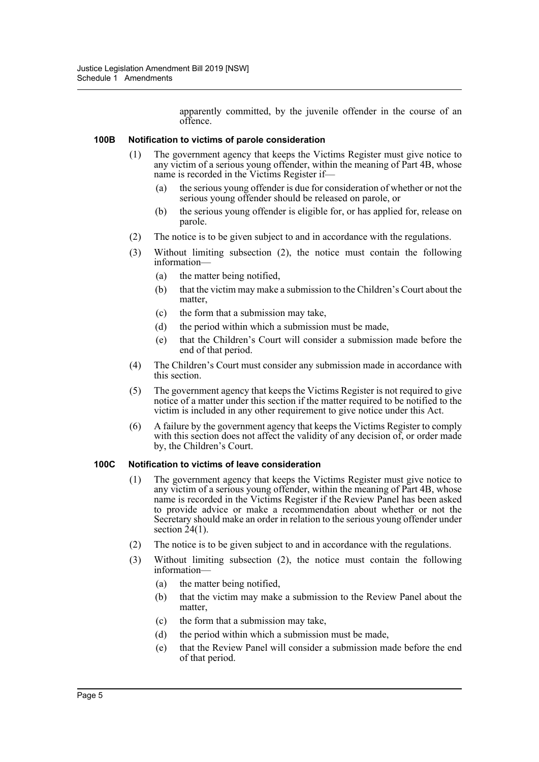apparently committed, by the juvenile offender in the course of an offence.

#### **100B Notification to victims of parole consideration**

- (1) The government agency that keeps the Victims Register must give notice to any victim of a serious young offender, within the meaning of Part 4B, whose name is recorded in the Victims Register if—
	- (a) the serious young offender is due for consideration of whether or not the serious young offender should be released on parole, or
	- (b) the serious young offender is eligible for, or has applied for, release on parole.
- (2) The notice is to be given subject to and in accordance with the regulations.
- (3) Without limiting subsection (2), the notice must contain the following information—
	- (a) the matter being notified,
	- (b) that the victim may make a submission to the Children's Court about the matter,
	- (c) the form that a submission may take,
	- (d) the period within which a submission must be made,
	- (e) that the Children's Court will consider a submission made before the end of that period.
- (4) The Children's Court must consider any submission made in accordance with this section.
- (5) The government agency that keeps the Victims Register is not required to give notice of a matter under this section if the matter required to be notified to the victim is included in any other requirement to give notice under this Act.
- (6) A failure by the government agency that keeps the Victims Register to comply with this section does not affect the validity of any decision of, or order made by, the Children's Court.

#### **100C Notification to victims of leave consideration**

- (1) The government agency that keeps the Victims Register must give notice to any victim of a serious young offender, within the meaning of Part 4B, whose name is recorded in the Victims Register if the Review Panel has been asked to provide advice or make a recommendation about whether or not the Secretary should make an order in relation to the serious young offender under section  $24(1)$ .
- (2) The notice is to be given subject to and in accordance with the regulations.
- (3) Without limiting subsection (2), the notice must contain the following information—
	- (a) the matter being notified,
	- (b) that the victim may make a submission to the Review Panel about the matter,
	- (c) the form that a submission may take,
	- (d) the period within which a submission must be made,
	- (e) that the Review Panel will consider a submission made before the end of that period.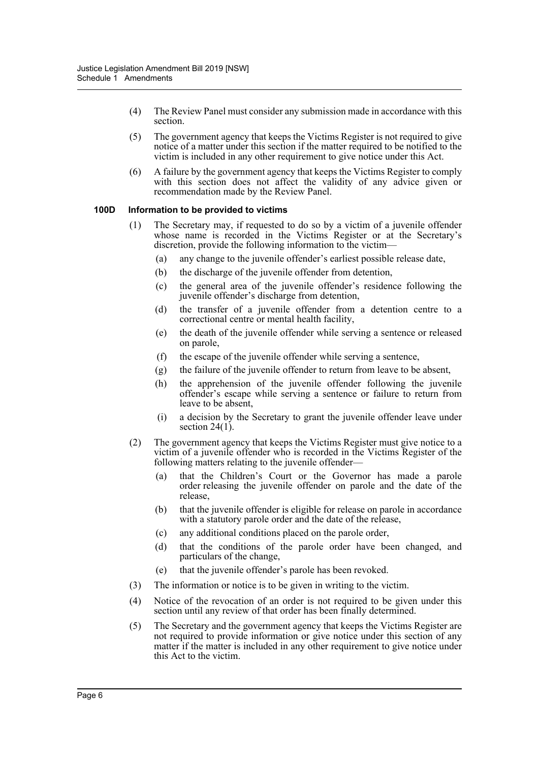- (4) The Review Panel must consider any submission made in accordance with this section.
- (5) The government agency that keeps the Victims Register is not required to give notice of a matter under this section if the matter required to be notified to the victim is included in any other requirement to give notice under this Act.
- (6) A failure by the government agency that keeps the Victims Register to comply with this section does not affect the validity of any advice given or recommendation made by the Review Panel.

#### **100D Information to be provided to victims**

- (1) The Secretary may, if requested to do so by a victim of a juvenile offender whose name is recorded in the Victims Register or at the Secretary's discretion, provide the following information to the victim—
	- (a) any change to the juvenile offender's earliest possible release date,
	- (b) the discharge of the juvenile offender from detention,
	- (c) the general area of the juvenile offender's residence following the juvenile offender's discharge from detention,
	- (d) the transfer of a juvenile offender from a detention centre to a correctional centre or mental health facility,
	- (e) the death of the juvenile offender while serving a sentence or released on parole,
	- (f) the escape of the juvenile offender while serving a sentence,
	- (g) the failure of the juvenile offender to return from leave to be absent,
	- (h) the apprehension of the juvenile offender following the juvenile offender's escape while serving a sentence or failure to return from leave to be absent,
	- (i) a decision by the Secretary to grant the juvenile offender leave under section  $24(1)$ .
- (2) The government agency that keeps the Victims Register must give notice to a victim of a juvenile offender who is recorded in the Victims Register of the following matters relating to the juvenile offender—
	- (a) that the Children's Court or the Governor has made a parole order releasing the juvenile offender on parole and the date of the release,
	- (b) that the juvenile offender is eligible for release on parole in accordance with a statutory parole order and the date of the release,
	- (c) any additional conditions placed on the parole order,
	- (d) that the conditions of the parole order have been changed, and particulars of the change,
	- (e) that the juvenile offender's parole has been revoked.
- (3) The information or notice is to be given in writing to the victim.
- (4) Notice of the revocation of an order is not required to be given under this section until any review of that order has been finally determined.
- (5) The Secretary and the government agency that keeps the Victims Register are not required to provide information or give notice under this section of any matter if the matter is included in any other requirement to give notice under this Act to the victim.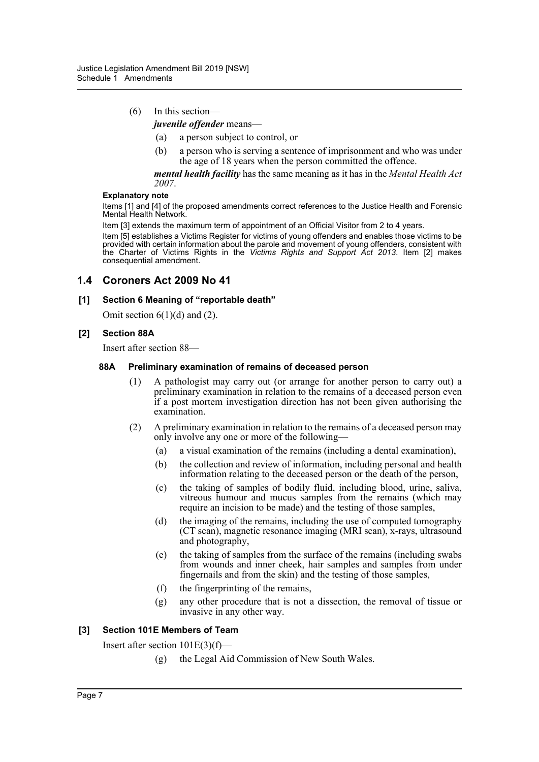# (6) In this section—

- *juvenile offender* means—
	- (a) a person subject to control, or
	- (b) a person who is serving a sentence of imprisonment and who was under the age of 18 years when the person committed the offence.

*mental health facility* has the same meaning as it has in the *Mental Health Act 2007*.

#### **Explanatory note**

Items [1] and [4] of the proposed amendments correct references to the Justice Health and Forensic Mental Health Network.

Item [3] extends the maximum term of appointment of an Official Visitor from 2 to 4 years.

Item [5] establishes a Victims Register for victims of young offenders and enables those victims to be provided with certain information about the parole and movement of young offenders, consistent with the Charter of Victims Rights in the *Victims Rights and Support Act 2013*. Item [2] makes consequential amendment.

# **1.4 Coroners Act 2009 No 41**

#### **[1] Section 6 Meaning of "reportable death"**

Omit section  $6(1)(d)$  and  $(2)$ .

## **[2] Section 88A**

Insert after section 88—

#### **88A Preliminary examination of remains of deceased person**

- (1) A pathologist may carry out (or arrange for another person to carry out) a preliminary examination in relation to the remains of a deceased person even if a post mortem investigation direction has not been given authorising the examination.
- (2) A preliminary examination in relation to the remains of a deceased person may only involve any one or more of the following—
	- (a) a visual examination of the remains (including a dental examination),
	- (b) the collection and review of information, including personal and health information relating to the deceased person or the death of the person,
	- (c) the taking of samples of bodily fluid, including blood, urine, saliva, vitreous humour and mucus samples from the remains (which may require an incision to be made) and the testing of those samples,
	- (d) the imaging of the remains, including the use of computed tomography (CT scan), magnetic resonance imaging (MRI scan), x-rays, ultrasound and photography,
	- (e) the taking of samples from the surface of the remains (including swabs from wounds and inner cheek, hair samples and samples from under fingernails and from the skin) and the testing of those samples,
	- (f) the fingerprinting of the remains,
	- (g) any other procedure that is not a dissection, the removal of tissue or invasive in any other way.

#### **[3] Section 101E Members of Team**

Insert after section 101E(3)(f)—

(g) the Legal Aid Commission of New South Wales.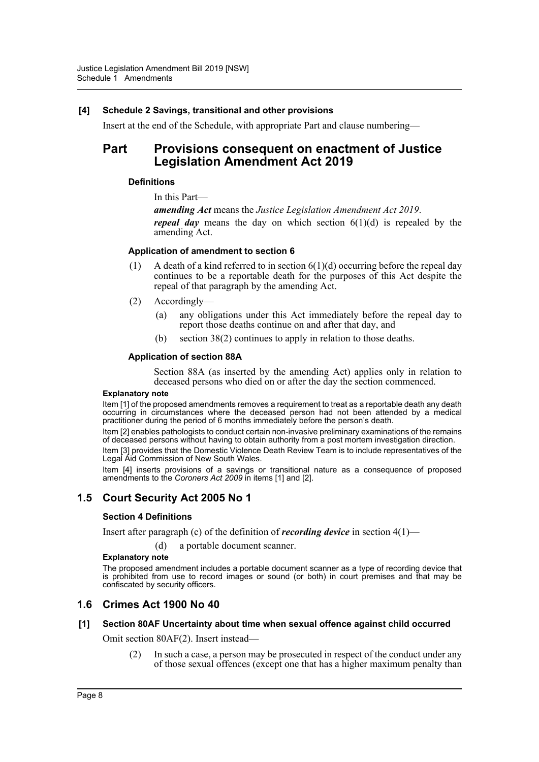## **[4] Schedule 2 Savings, transitional and other provisions**

Insert at the end of the Schedule, with appropriate Part and clause numbering—

# **Part Provisions consequent on enactment of Justice Legislation Amendment Act 2019**

## **Definitions**

In this Part—

*amending Act* means the *Justice Legislation Amendment Act 2019*. *repeal day* means the day on which section  $6(1)(d)$  is repealed by the amending Act.

## **Application of amendment to section 6**

- (1) A death of a kind referred to in section  $6(1)(d)$  occurring before the repeal day continues to be a reportable death for the purposes of this Act despite the repeal of that paragraph by the amending Act.
- (2) Accordingly—
	- (a) any obligations under this Act immediately before the repeal day to report those deaths continue on and after that day, and
	- (b) section 38(2) continues to apply in relation to those deaths.

## **Application of section 88A**

Section 88A (as inserted by the amending Act) applies only in relation to deceased persons who died on or after the day the section commenced.

#### **Explanatory note**

Item [1] of the proposed amendments removes a requirement to treat as a reportable death any death occurring in circumstances where the deceased person had not been attended by a medical practitioner during the period of 6 months immediately before the person's death.

Item [2] enables pathologists to conduct certain non-invasive preliminary examinations of the remains of deceased persons without having to obtain authority from a post mortem investigation direction.

Item [3] provides that the Domestic Violence Death Review Team is to include representatives of the Legal Aid Commission of New South Wales.

Item [4] inserts provisions of a savings or transitional nature as a consequence of proposed amendments to the *Coroners Act 2009* in items [1] and [2].

# **1.5 Court Security Act 2005 No 1**

#### **Section 4 Definitions**

Insert after paragraph (c) of the definition of *recording device* in section 4(1)—

(d) a portable document scanner.

#### **Explanatory note**

The proposed amendment includes a portable document scanner as a type of recording device that is prohibited from use to record images or sound (or both) in court premises and that may be confiscated by security officers.

# **1.6 Crimes Act 1900 No 40**

#### **[1] Section 80AF Uncertainty about time when sexual offence against child occurred**

Omit section 80AF(2). Insert instead—

(2) In such a case, a person may be prosecuted in respect of the conduct under any of those sexual offences (except one that has a higher maximum penalty than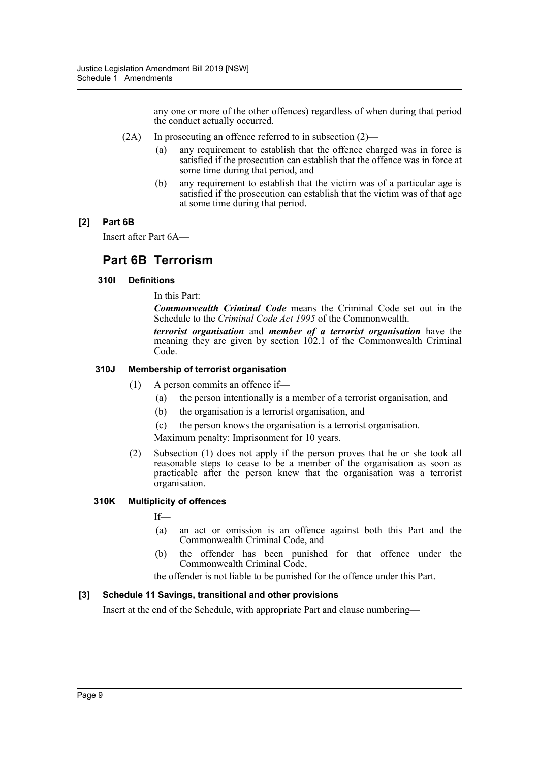any one or more of the other offences) regardless of when during that period the conduct actually occurred.

- (2A) In prosecuting an offence referred to in subsection (2)—
	- (a) any requirement to establish that the offence charged was in force is satisfied if the prosecution can establish that the offence was in force at some time during that period, and
	- (b) any requirement to establish that the victim was of a particular age is satisfied if the prosecution can establish that the victim was of that age at some time during that period.

# **[2] Part 6B**

Insert after Part 6A—

# **Part 6B Terrorism**

## **310I Definitions**

In this Part:

*Commonwealth Criminal Code* means the Criminal Code set out in the Schedule to the *Criminal Code Act 1995* of the Commonwealth.

*terrorist organisation* and *member of a terrorist organisation* have the meaning they are given by section 102.1 of the Commonwealth Criminal Code.

## **310J Membership of terrorist organisation**

- (1) A person commits an offence if—
	- (a) the person intentionally is a member of a terrorist organisation, and
	- (b) the organisation is a terrorist organisation, and
	- (c) the person knows the organisation is a terrorist organisation.

Maximum penalty: Imprisonment for 10 years.

(2) Subsection (1) does not apply if the person proves that he or she took all reasonable steps to cease to be a member of the organisation as soon as practicable after the person knew that the organisation was a terrorist organisation.

## **310K Multiplicity of offences**

If—

- (a) an act or omission is an offence against both this Part and the Commonwealth Criminal Code, and
- (b) the offender has been punished for that offence under the Commonwealth Criminal Code,

the offender is not liable to be punished for the offence under this Part.

#### **[3] Schedule 11 Savings, transitional and other provisions**

Insert at the end of the Schedule, with appropriate Part and clause numbering—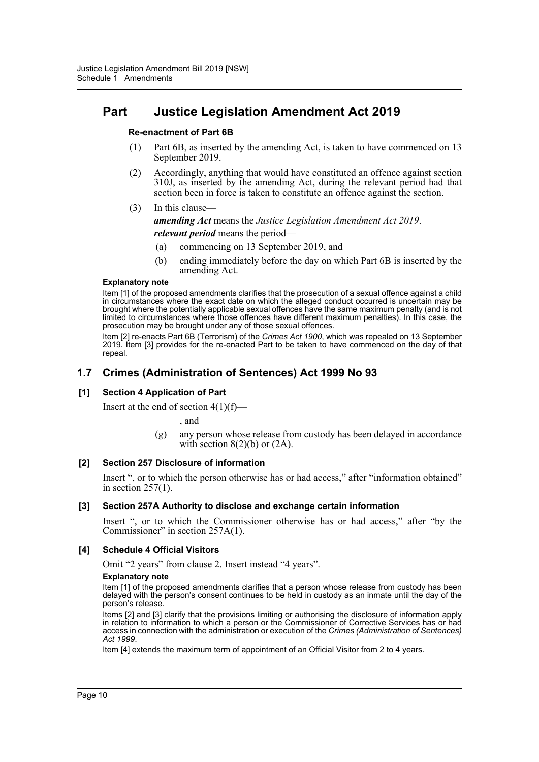# **Part Justice Legislation Amendment Act 2019**

## **Re-enactment of Part 6B**

- (1) Part 6B, as inserted by the amending Act, is taken to have commenced on 13 September 2019.
- (2) Accordingly, anything that would have constituted an offence against section 310J, as inserted by the amending Act, during the relevant period had that section been in force is taken to constitute an offence against the section.
- (3) In this clause—

*amending Act* means the *Justice Legislation Amendment Act 2019*. *relevant period* means the period—

- (a) commencing on 13 September 2019, and
- (b) ending immediately before the day on which Part 6B is inserted by the amending Act.

#### **Explanatory note**

Item [1] of the proposed amendments clarifies that the prosecution of a sexual offence against a child in circumstances where the exact date on which the alleged conduct occurred is uncertain may be brought where the potentially applicable sexual offences have the same maximum penalty (and is not limited to circumstances where those offences have different maximum penalties). In this case, the prosecution may be brought under any of those sexual offences.

Item [2] re-enacts Part 6B (Terrorism) of the *Crimes Act 1900*, which was repealed on 13 September 2019. Item [3] provides for the re-enacted Part to be taken to have commenced on the day of that repeal.

# **1.7 Crimes (Administration of Sentences) Act 1999 No 93**

# **[1] Section 4 Application of Part**

Insert at the end of section  $4(1)(f)$ —

, and

(g) any person whose release from custody has been delayed in accordance with section  $8(2)(b)$  or  $(2A)$ .

#### **[2] Section 257 Disclosure of information**

Insert ", or to which the person otherwise has or had access," after "information obtained" in section 257(1).

#### **[3] Section 257A Authority to disclose and exchange certain information**

Insert ", or to which the Commissioner otherwise has or had access," after "by the Commissioner" in section 257A(1).

# **[4] Schedule 4 Official Visitors**

Omit "2 years" from clause 2. Insert instead "4 years".

#### **Explanatory note**

Item [1] of the proposed amendments clarifies that a person whose release from custody has been delayed with the person's consent continues to be held in custody as an inmate until the day of the person's release.

Items [2] and [3] clarify that the provisions limiting or authorising the disclosure of information apply in relation to information to which a person or the Commissioner of Corrective Services has or had access in connection with the administration or execution of the *Crimes (Administration of Sentences) Act 1999*.

Item [4] extends the maximum term of appointment of an Official Visitor from 2 to 4 years.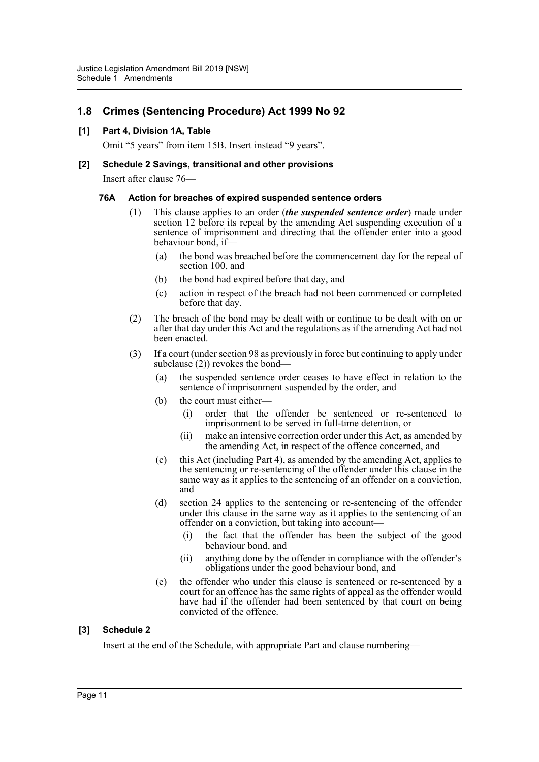# **1.8 Crimes (Sentencing Procedure) Act 1999 No 92**

## **[1] Part 4, Division 1A, Table**

Omit "5 years" from item 15B. Insert instead "9 years".

#### **[2] Schedule 2 Savings, transitional and other provisions**

Insert after clause 76—

#### **76A Action for breaches of expired suspended sentence orders**

- This clause applies to an order *(the suspended sentence order)* made under section 12 before its repeal by the amending Act suspending execution of a sentence of imprisonment and directing that the offender enter into a good behaviour bond, if—
	- (a) the bond was breached before the commencement day for the repeal of section 100, and
	- (b) the bond had expired before that day, and
	- (c) action in respect of the breach had not been commenced or completed before that day.
- (2) The breach of the bond may be dealt with or continue to be dealt with on or after that day under this Act and the regulations as if the amending Act had not been enacted.
- (3) If a court (under section 98 as previously in force but continuing to apply under subclause (2)) revokes the bond-
	- (a) the suspended sentence order ceases to have effect in relation to the sentence of imprisonment suspended by the order, and
	- (b) the court must either—
		- (i) order that the offender be sentenced or re-sentenced to imprisonment to be served in full-time detention, or
		- (ii) make an intensive correction order under this Act, as amended by the amending Act, in respect of the offence concerned, and
	- (c) this Act (including Part 4), as amended by the amending Act, applies to the sentencing or re-sentencing of the offender under this clause in the same way as it applies to the sentencing of an offender on a conviction, and
	- (d) section 24 applies to the sentencing or re-sentencing of the offender under this clause in the same way as it applies to the sentencing of an offender on a conviction, but taking into account—
		- (i) the fact that the offender has been the subject of the good behaviour bond, and
		- (ii) anything done by the offender in compliance with the offender's obligations under the good behaviour bond, and
	- (e) the offender who under this clause is sentenced or re-sentenced by a court for an offence has the same rights of appeal as the offender would have had if the offender had been sentenced by that court on being convicted of the offence.

#### **[3] Schedule 2**

Insert at the end of the Schedule, with appropriate Part and clause numbering—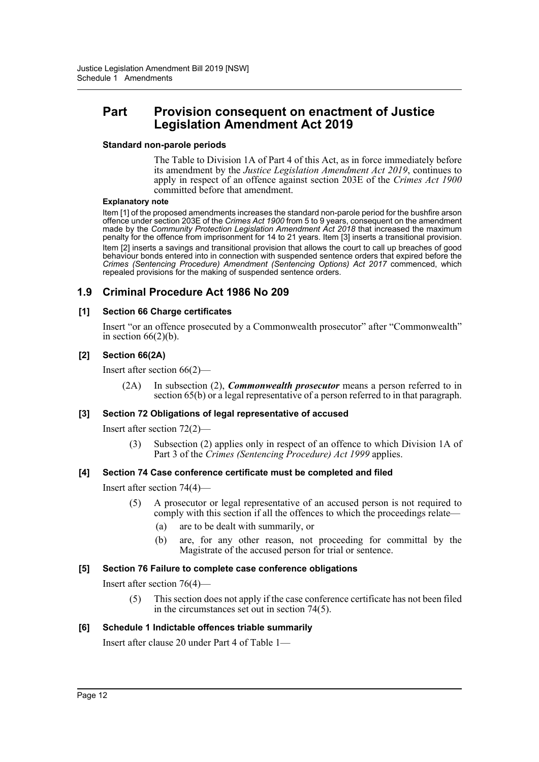# **Part Provision consequent on enactment of Justice Legislation Amendment Act 2019**

#### **Standard non-parole periods**

The Table to Division 1A of Part 4 of this Act, as in force immediately before its amendment by the *Justice Legislation Amendment Act 2019*, continues to apply in respect of an offence against section 203E of the *Crimes Act 1900* committed before that amendment.

#### **Explanatory note**

Item [1] of the proposed amendments increases the standard non-parole period for the bushfire arson offence under section 203E of the *Crimes Act 1900* from 5 to 9 years, consequent on the amendment made by the *Community Protection Legislation Amendment Act 2018* that increased the maximum penalty for the offence from imprisonment for 14 to 21 years. Item [3] inserts a transitional provision. Item [2] inserts a savings and transitional provision that allows the court to call up breaches of good behaviour bonds entered into in connection with suspended sentence orders that expired before the *Crimes (Sentencing Procedure) Amendment (Sentencing Options) Act 2017* commenced, which repealed provisions for the making of suspended sentence orders.

# **1.9 Criminal Procedure Act 1986 No 209**

#### **[1] Section 66 Charge certificates**

Insert "or an offence prosecuted by a Commonwealth prosecutor" after "Commonwealth" in section  $66(2)(b)$ .

#### **[2] Section 66(2A)**

Insert after section 66(2)—

(2A) In subsection (2), *Commonwealth prosecutor* means a person referred to in section 65(b) or a legal representative of a person referred to in that paragraph.

#### **[3] Section 72 Obligations of legal representative of accused**

Insert after section 72(2)—

(3) Subsection (2) applies only in respect of an offence to which Division 1A of Part 3 of the *Crimes (Sentencing Procedure) Act 1999* applies.

#### **[4] Section 74 Case conference certificate must be completed and filed**

Insert after section 74(4)—

- (5) A prosecutor or legal representative of an accused person is not required to comply with this section if all the offences to which the proceedings relate—
	- (a) are to be dealt with summarily, or
	- (b) are, for any other reason, not proceeding for committal by the Magistrate of the accused person for trial or sentence.

#### **[5] Section 76 Failure to complete case conference obligations**

Insert after section 76(4)—

(5) This section does not apply if the case conference certificate has not been filed in the circumstances set out in section 74(5).

#### **[6] Schedule 1 Indictable offences triable summarily**

Insert after clause 20 under Part 4 of Table 1—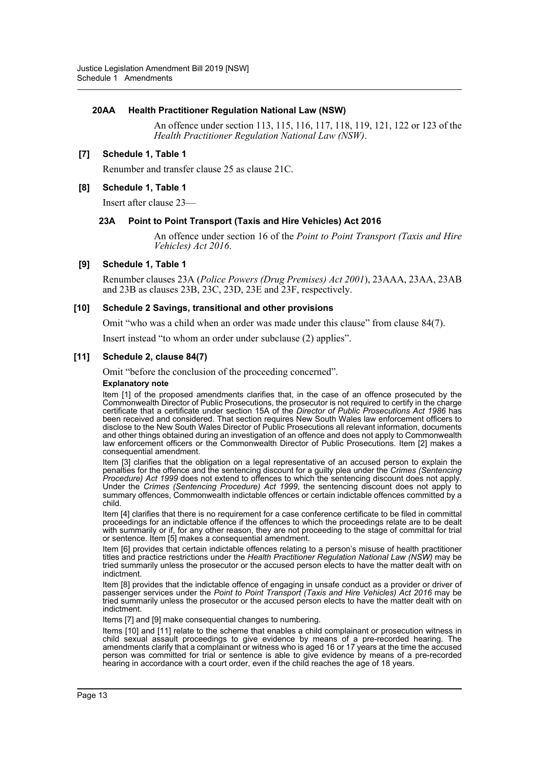#### **20AA Health Practitioner Regulation National Law (NSW)**

An offence under section 113, 115, 116, 117, 118, 119, 121, 122 or 123 of the *Health Practitioner Regulation National Law (NSW)*.

#### **[7] Schedule 1, Table 1**

Renumber and transfer clause 25 as clause 21C.

#### **[8] Schedule 1, Table 1**

Insert after clause 23—

#### **23A Point to Point Transport (Taxis and Hire Vehicles) Act 2016**

An offence under section 16 of the *Point to Point Transport (Taxis and Hire Vehicles) Act 2016*.

#### **[9] Schedule 1, Table 1**

Renumber clauses 23A (*Police Powers (Drug Premises) Act 2001*), 23AAA, 23AA, 23AB and 23B as clauses 23B, 23C, 23D, 23E and 23F, respectively.

#### **[10] Schedule 2 Savings, transitional and other provisions**

Omit "who was a child when an order was made under this clause" from clause 84(7).

Insert instead "to whom an order under subclause (2) applies".

#### **[11] Schedule 2, clause 84(7)**

Omit "before the conclusion of the proceeding concerned".

#### **Explanatory note**

Item [1] of the proposed amendments clarifies that, in the case of an offence prosecuted by the Commonwealth Director of Public Prosecutions, the prosecutor is not required to certify in the charge certificate that a certificate under section 15A of the *Director of Public Prosecutions Act 1986* has been received and considered. That section requires New South Wales law enforcement officers to disclose to the New South Wales Director of Public Prosecutions all relevant information, documents and other things obtained during an investigation of an offence and does not apply to Commonwealth law enforcement officers or the Commonwealth Director of Public Prosecutions. Item [2] makes a consequential amendment.

Item [3] clarifies that the obligation on a legal representative of an accused person to explain the penalties for the offence and the sentencing discount for a guilty plea under the *Crimes (Sentencing Procedure) Act 1999* does not extend to offences to which the sentencing discount does not apply. Under the *Crimes (Sentencing Procedure) Act 1999*, the sentencing discount does not apply to summary offences, Commonwealth indictable offences or certain indictable offences committed by a child.

Item [4] clarifies that there is no requirement for a case conference certificate to be filed in committal proceedings for an indictable offence if the offences to which the proceedings relate are to be dealt with summarily or if, for any other reason, they are not proceeding to the stage of committal for trial or sentence. Item [5] makes a consequential amendment.

Item [6] provides that certain indictable offences relating to a person's misuse of health practitioner titles and practice restrictions under the *Health Practitioner Regulation National Law (NSW)* may be tried summarily unless the prosecutor or the accused person elects to have the matter dealt with on indictment.

Item [8] provides that the indictable offence of engaging in unsafe conduct as a provider or driver of passenger services under the *Point to Point Transport (Taxis and Hire Vehicles) Act 2016* may be tried summarily unless the prosecutor or the accused person elects to have the matter dealt with on indictment.

Items [7] and [9] make consequential changes to numbering.

Items [10] and [11] relate to the scheme that enables a child complainant or prosecution witness in child sexual assault proceedings to give evidence by means of a pre-recorded hearing. The amendments clarify that a complainant or witness who is aged 16 or 17 years at the time the accused person was committed for trial or sentence is able to give evidence by means of a pre-recorded hearing in accordance with a court order, even if the child reaches the age of 18 years.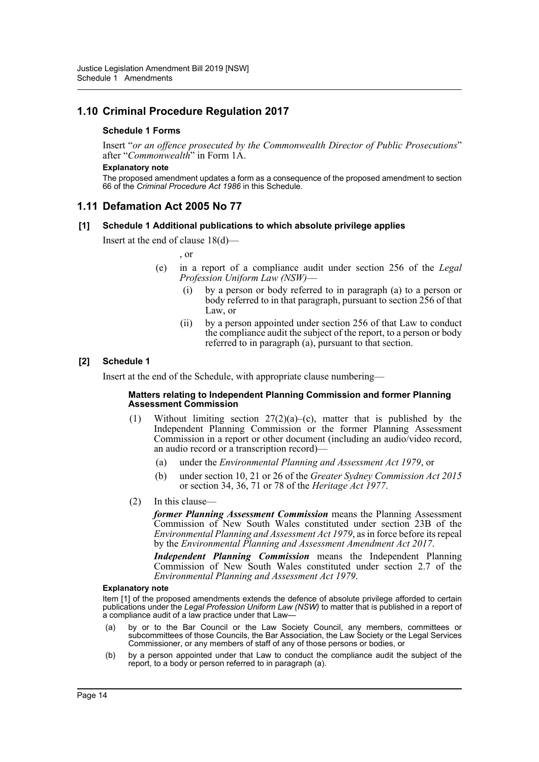# **1.10 Criminal Procedure Regulation 2017**

#### **Schedule 1 Forms**

Insert "*or an offence prosecuted by the Commonwealth Director of Public Prosecutions*" after "*Commonwealth*" in Form 1A.

#### **Explanatory note**

The proposed amendment updates a form as a consequence of the proposed amendment to section 66 of the *Criminal Procedure Act 1986* in this Schedule.

## **1.11 Defamation Act 2005 No 77**

#### **[1] Schedule 1 Additional publications to which absolute privilege applies**

Insert at the end of clause 18(d)—

, or

- (e) in a report of a compliance audit under section 256 of the *Legal Profession Uniform Law (NSW)*—
	- (i) by a person or body referred to in paragraph (a) to a person or body referred to in that paragraph, pursuant to section 256 of that Law, or
	- (ii) by a person appointed under section 256 of that Law to conduct the compliance audit the subject of the report, to a person or body referred to in paragraph (a), pursuant to that section.

#### **[2] Schedule 1**

Insert at the end of the Schedule, with appropriate clause numbering—

#### **Matters relating to Independent Planning Commission and former Planning Assessment Commission**

- (1) Without limiting section 27(2)(a)–(c), matter that is published by the Independent Planning Commission or the former Planning Assessment Commission in a report or other document (including an audio/video record, an audio record or a transcription record)—
	- (a) under the *Environmental Planning and Assessment Act 1979*, or
	- (b) under section 10, 21 or 26 of the *Greater Sydney Commission Act 2015* or section 34, 36, 71 or 78 of the *Heritage Act 1977*.
- (2) In this clause—

*former Planning Assessment Commission* means the Planning Assessment Commission of New South Wales constituted under section 23B of the *Environmental Planning and Assessment Act 1979*, as in force before its repeal by the *Environmental Planning and Assessment Amendment Act 2017*.

*Independent Planning Commission* means the Independent Planning Commission of New South Wales constituted under section 2.7 of the *Environmental Planning and Assessment Act 1979*.

#### **Explanatory note**

Item [1] of the proposed amendments extends the defence of absolute privilege afforded to certain publications under the *Legal Profession Uniform Law (NSW)* to matter that is published in a report of a compliance audit of a law practice under that Law—

- (a) by or to the Bar Council or the Law Society Council, any members, committees or subcommittees of those Councils, the Bar Association, the Law Society or the Legal Services Commissioner, or any members of staff of any of those persons or bodies, or
- (b) by a person appointed under that Law to conduct the compliance audit the subject of the report, to a body or person referred to in paragraph (a).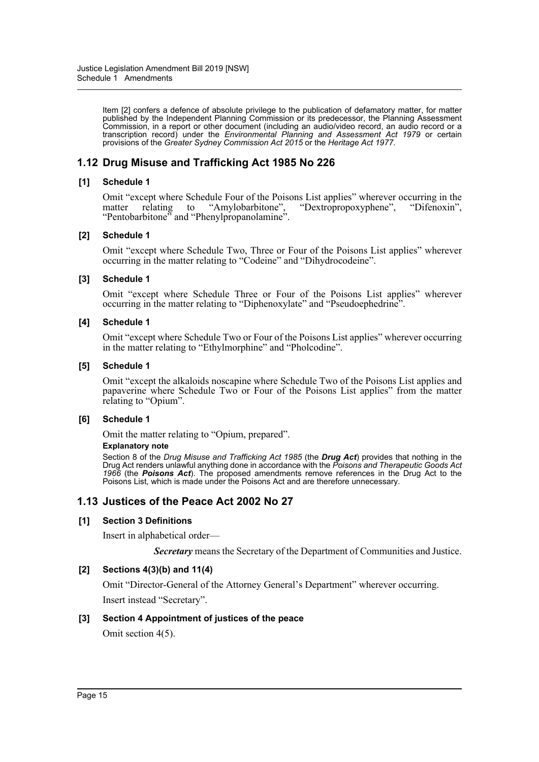Item [2] confers a defence of absolute privilege to the publication of defamatory matter, for matter published by the Independent Planning Commission or its predecessor, the Planning Assessment Commission, in a report or other document (including an audio/video record, an audio record or a transcription record) under the *Environmental Planning and Assessment Act 1979* or certain provisions of the *Greater Sydney Commission Act 2015* or the *Heritage Act 1977*.

# **1.12 Drug Misuse and Trafficking Act 1985 No 226**

#### **[1] Schedule 1**

Omit "except where Schedule Four of the Poisons List applies" wherever occurring in the matter relating to "Amylobarbitone", "Dextropropoxyphene", "Difenoxin", matter relating to "Amylobarbitone", "Dextropropoxyphene", "Difenoxin", "Pentobarbitone" and "Phenylpropanolamine".

#### **[2] Schedule 1**

Omit "except where Schedule Two, Three or Four of the Poisons List applies" wherever occurring in the matter relating to "Codeine" and "Dihydrocodeine".

#### **[3] Schedule 1**

Omit "except where Schedule Three or Four of the Poisons List applies" wherever occurring in the matter relating to "Diphenoxylate" and "Pseudoephedrine".

#### **[4] Schedule 1**

Omit "except where Schedule Two or Four of the Poisons List applies" wherever occurring in the matter relating to "Ethylmorphine" and "Pholcodine".

#### **[5] Schedule 1**

Omit "except the alkaloids noscapine where Schedule Two of the Poisons List applies and papaverine where Schedule Two or Four of the Poisons List applies" from the matter relating to "Opium".

#### **[6] Schedule 1**

Omit the matter relating to "Opium, prepared".

#### **Explanatory note**

Section 8 of the *Drug Misuse and Trafficking Act 1985* (the *Drug Act*) provides that nothing in the Drug Act renders unlawful anything done in accordance with the *Poisons and Therapeutic Goods Act 1966* (the *Poisons Act*). The proposed amendments remove references in the Drug Act to the Poisons List, which is made under the Poisons Act and are therefore unnecessary.

# **1.13 Justices of the Peace Act 2002 No 27**

#### **[1] Section 3 Definitions**

Insert in alphabetical order—

*Secretary* means the Secretary of the Department of Communities and Justice.

#### **[2] Sections 4(3)(b) and 11(4)**

Omit "Director-General of the Attorney General's Department" wherever occurring. Insert instead "Secretary".

#### **[3] Section 4 Appointment of justices of the peace**

Omit section 4(5).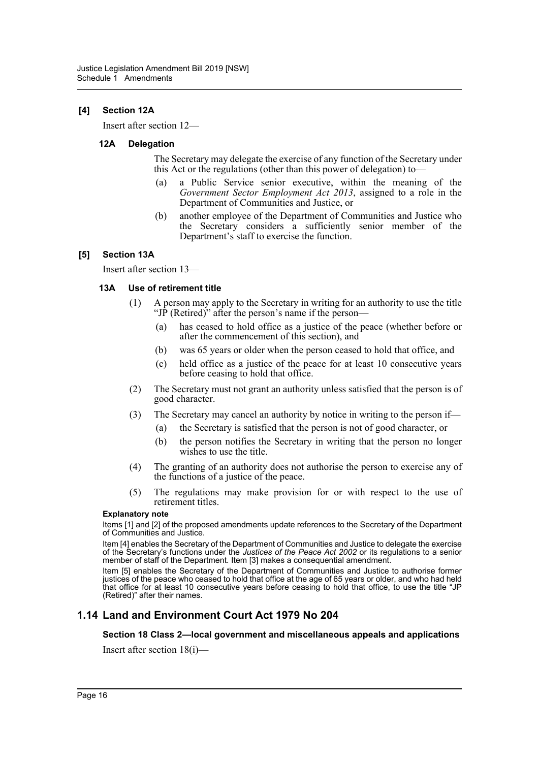## **[4] Section 12A**

Insert after section 12—

#### **12A Delegation**

The Secretary may delegate the exercise of any function of the Secretary under this Act or the regulations (other than this power of delegation) to—

- (a) a Public Service senior executive, within the meaning of the *Government Sector Employment Act 2013*, assigned to a role in the Department of Communities and Justice, or
- (b) another employee of the Department of Communities and Justice who the Secretary considers a sufficiently senior member of the Department's staff to exercise the function.

## **[5] Section 13A**

Insert after section 13—

#### **13A Use of retirement title**

- (1) A person may apply to the Secretary in writing for an authority to use the title "JP (Retired)" after the person's name if the person-
	- (a) has ceased to hold office as a justice of the peace (whether before or after the commencement of this section), and
	- (b) was 65 years or older when the person ceased to hold that office, and
	- (c) held office as a justice of the peace for at least 10 consecutive years before ceasing to hold that office.
- (2) The Secretary must not grant an authority unless satisfied that the person is of good character.
- (3) The Secretary may cancel an authority by notice in writing to the person if—
	- (a) the Secretary is satisfied that the person is not of good character, or
	- (b) the person notifies the Secretary in writing that the person no longer wishes to use the title.
- (4) The granting of an authority does not authorise the person to exercise any of the functions of a justice of the peace.
- (5) The regulations may make provision for or with respect to the use of retirement titles.

#### **Explanatory note**

Items [1] and [2] of the proposed amendments update references to the Secretary of the Department of Communities and Justice.

Item [4] enables the Secretary of the Department of Communities and Justice to delegate the exercise of the Secretary's functions under the *Justices of the Peace Act 2002* or its regulations to a senior member of staff of the Department. Item [3] makes a consequential amendment.

Item [5] enables the Secretary of the Department of Communities and Justice to authorise former justices of the peace who ceased to hold that office at the age of 65 years or older, and who had held that office for at least 10 consecutive years before ceasing to hold that office, to use the title "JP (Retired)" after their names.

# **1.14 Land and Environment Court Act 1979 No 204**

#### **Section 18 Class 2—local government and miscellaneous appeals and applications**

Insert after section 18(i)—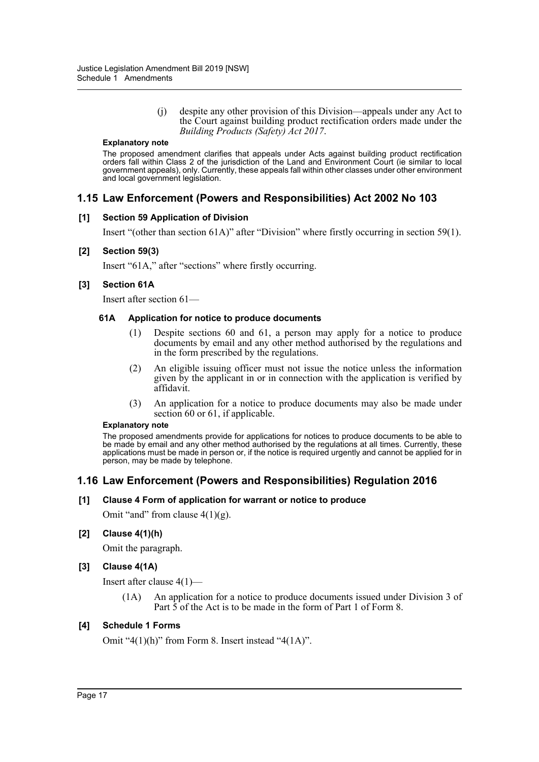(j) despite any other provision of this Division—appeals under any Act to the Court against building product rectification orders made under the *Building Products (Safety) Act 2017*.

#### **Explanatory note**

The proposed amendment clarifies that appeals under Acts against building product rectification orders fall within Class 2 of the jurisdiction of the Land and Environment Court (ie similar to local government appeals), only. Currently, these appeals fall within other classes under other environment and local government legislation.

# **1.15 Law Enforcement (Powers and Responsibilities) Act 2002 No 103**

#### **[1] Section 59 Application of Division**

Insert "(other than section 61A)" after "Division" where firstly occurring in section 59(1).

#### **[2] Section 59(3)**

Insert "61A," after "sections" where firstly occurring.

## **[3] Section 61A**

Insert after section 61—

#### **61A Application for notice to produce documents**

- (1) Despite sections 60 and 61, a person may apply for a notice to produce documents by email and any other method authorised by the regulations and in the form prescribed by the regulations.
- (2) An eligible issuing officer must not issue the notice unless the information given by the applicant in or in connection with the application is verified by affidavit.
- (3) An application for a notice to produce documents may also be made under section 60 or 61, if applicable.

#### **Explanatory note**

The proposed amendments provide for applications for notices to produce documents to be able to be made by email and any other method authorised by the regulations at all times. Currently, these applications must be made in person or, if the notice is required urgently and cannot be applied for in person, may be made by telephone.

# **1.16 Law Enforcement (Powers and Responsibilities) Regulation 2016**

#### **[1] Clause 4 Form of application for warrant or notice to produce**

Omit "and" from clause  $4(1)(g)$ .

#### **[2] Clause 4(1)(h)**

Omit the paragraph.

#### **[3] Clause 4(1A)**

Insert after clause 4(1)—

(1A) An application for a notice to produce documents issued under Division 3 of Part  $\overline{5}$  of the Act is to be made in the form of Part 1 of Form 8.

#### **[4] Schedule 1 Forms**

Omit "4(1)(h)" from Form 8. Insert instead "4(1A)".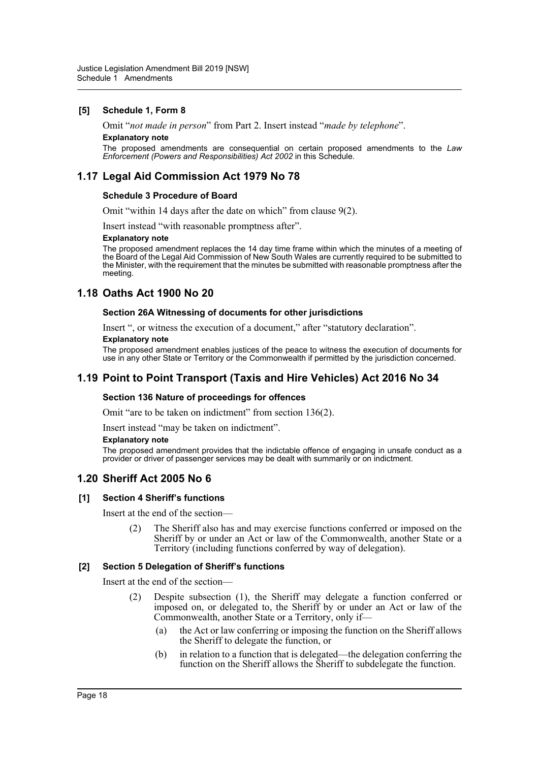#### **[5] Schedule 1, Form 8**

Omit "*not made in person*" from Part 2. Insert instead "*made by telephone*".

## **Explanatory note**

The proposed amendments are consequential on certain proposed amendments to the *Law Enforcement (Powers and Responsibilities) Act 2002* in this Schedule.

# **1.17 Legal Aid Commission Act 1979 No 78**

#### **Schedule 3 Procedure of Board**

Omit "within 14 days after the date on which" from clause 9(2).

Insert instead "with reasonable promptness after".

#### **Explanatory note**

The proposed amendment replaces the 14 day time frame within which the minutes of a meeting of the Board of the Legal Aid Commission of New South Wales are currently required to be submitted to the Minister, with the requirement that the minutes be submitted with reasonable promptness after the meeting.

# **1.18 Oaths Act 1900 No 20**

#### **Section 26A Witnessing of documents for other jurisdictions**

Insert ", or witness the execution of a document," after "statutory declaration".

#### **Explanatory note**

The proposed amendment enables justices of the peace to witness the execution of documents for use in any other State or Territory or the Commonwealth if permitted by the jurisdiction concerned.

# **1.19 Point to Point Transport (Taxis and Hire Vehicles) Act 2016 No 34**

#### **Section 136 Nature of proceedings for offences**

Omit "are to be taken on indictment" from section 136(2).

Insert instead "may be taken on indictment".

#### **Explanatory note**

The proposed amendment provides that the indictable offence of engaging in unsafe conduct as a provider or driver of passenger services may be dealt with summarily or on indictment.

# **1.20 Sheriff Act 2005 No 6**

#### **[1] Section 4 Sheriff's functions**

Insert at the end of the section—

(2) The Sheriff also has and may exercise functions conferred or imposed on the Sheriff by or under an Act or law of the Commonwealth, another State or a Territory (including functions conferred by way of delegation).

#### **[2] Section 5 Delegation of Sheriff's functions**

Insert at the end of the section—

- (2) Despite subsection (1), the Sheriff may delegate a function conferred or imposed on, or delegated to, the Sheriff by or under an Act or law of the Commonwealth, another State or a Territory, only if—
	- (a) the Act or law conferring or imposing the function on the Sheriff allows the Sheriff to delegate the function, or
	- (b) in relation to a function that is delegated—the delegation conferring the function on the Sheriff allows the Sheriff to subdelegate the function.